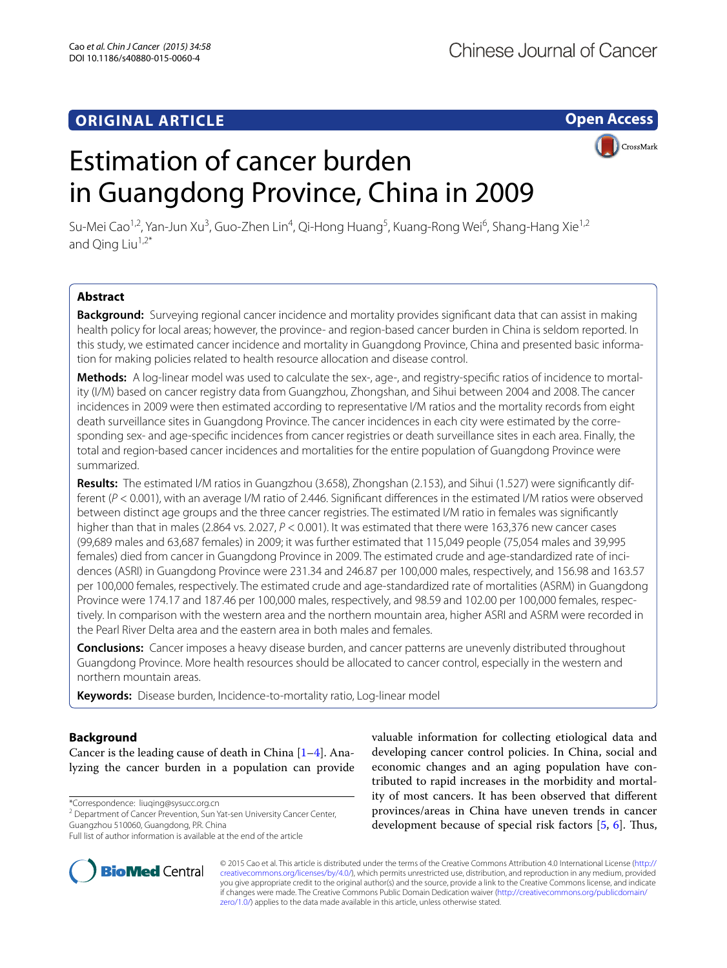# **ORIGINAL ARTICLE**

**Open Access**

**CrossMark** 



Su-Mei Cao<sup>1,2</sup>, Yan-Jun Xu<sup>3</sup>, Guo-Zhen Lin<sup>4</sup>, Qi-Hong Huang<sup>5</sup>, Kuang-Rong Wei<sup>6</sup>, Shang-Hang Xie<sup>1,2</sup> and Qing Liu $1,2^*$ 

# **Abstract**

**Background:** Surveying regional cancer incidence and mortality provides significant data that can assist in making health policy for local areas; however, the province- and region-based cancer burden in China is seldom reported. In this study, we estimated cancer incidence and mortality in Guangdong Province, China and presented basic information for making policies related to health resource allocation and disease control.

**Methods:** A log-linear model was used to calculate the sex-, age-, and registry-specific ratios of incidence to mortality (I/M) based on cancer registry data from Guangzhou, Zhongshan, and Sihui between 2004 and 2008. The cancer incidences in 2009 were then estimated according to representative I/M ratios and the mortality records from eight death surveillance sites in Guangdong Province. The cancer incidences in each city were estimated by the corresponding sex- and age-specific incidences from cancer registries or death surveillance sites in each area. Finally, the total and region-based cancer incidences and mortalities for the entire population of Guangdong Province were summarized.

**Results:** The estimated I/M ratios in Guangzhou (3.658), Zhongshan (2.153), and Sihui (1.527) were significantly dif‑ ferent (*P* < 0.001), with an average I/M ratio of 2.446. Significant differences in the estimated I/M ratios were observed between distinct age groups and the three cancer registries. The estimated I/M ratio in females was significantly higher than that in males (2.864 vs. 2.027,  $P < 0.001$ ). It was estimated that there were 163,376 new cancer cases (99,689 males and 63,687 females) in 2009; it was further estimated that 115,049 people (75,054 males and 39,995 females) died from cancer in Guangdong Province in 2009. The estimated crude and age-standardized rate of incidences (ASRI) in Guangdong Province were 231.34 and 246.87 per 100,000 males, respectively, and 156.98 and 163.57 per 100,000 females, respectively. The estimated crude and age-standardized rate of mortalities (ASRM) in Guangdong Province were 174.17 and 187.46 per 100,000 males, respectively, and 98.59 and 102.00 per 100,000 females, respectively. In comparison with the western area and the northern mountain area, higher ASRI and ASRM were recorded in the Pearl River Delta area and the eastern area in both males and females.

**Conclusions:** Cancer imposes a heavy disease burden, and cancer patterns are unevenly distributed throughout Guangdong Province. More health resources should be allocated to cancer control, especially in the western and northern mountain areas.

**Keywords:** Disease burden, Incidence-to-mortality ratio, Log-linear model

# **Background**

Cancer is the leading cause of death in China [\[1](#page-7-0)[–4](#page-7-1)]. Analyzing the cancer burden in a population can provide

\*Correspondence: liuqing@sysucc.org.cn

Full list of author information is available at the end of the article



valuable information for collecting etiological data and developing cancer control policies. In China, social and economic changes and an aging population have contributed to rapid increases in the morbidity and mortality of most cancers. It has been observed that different provinces/areas in China have uneven trends in cancer development because of special risk factors [\[5](#page-7-2), [6](#page-7-3)]. Thus,

© 2015 Cao et al. This article is distributed under the terms of the Creative Commons Attribution 4.0 International License [\(http://](http://creativecommons.org/licenses/by/4.0/) [creativecommons.org/licenses/by/4.0/](http://creativecommons.org/licenses/by/4.0/)), which permits unrestricted use, distribution, and reproduction in any medium, provided you give appropriate credit to the original author(s) and the source, provide a link to the Creative Commons license, and indicate if changes were made. The Creative Commons Public Domain Dedication waiver ([http://creativecommons.org/publicdomain/](http://creativecommons.org/publicdomain/zero/1.0/) [zero/1.0/](http://creativecommons.org/publicdomain/zero/1.0/)) applies to the data made available in this article, unless otherwise stated.

<sup>&</sup>lt;sup>2</sup> Department of Cancer Prevention, Sun Yat-sen University Cancer Center, Guangzhou 510060, Guangdong, P.R. China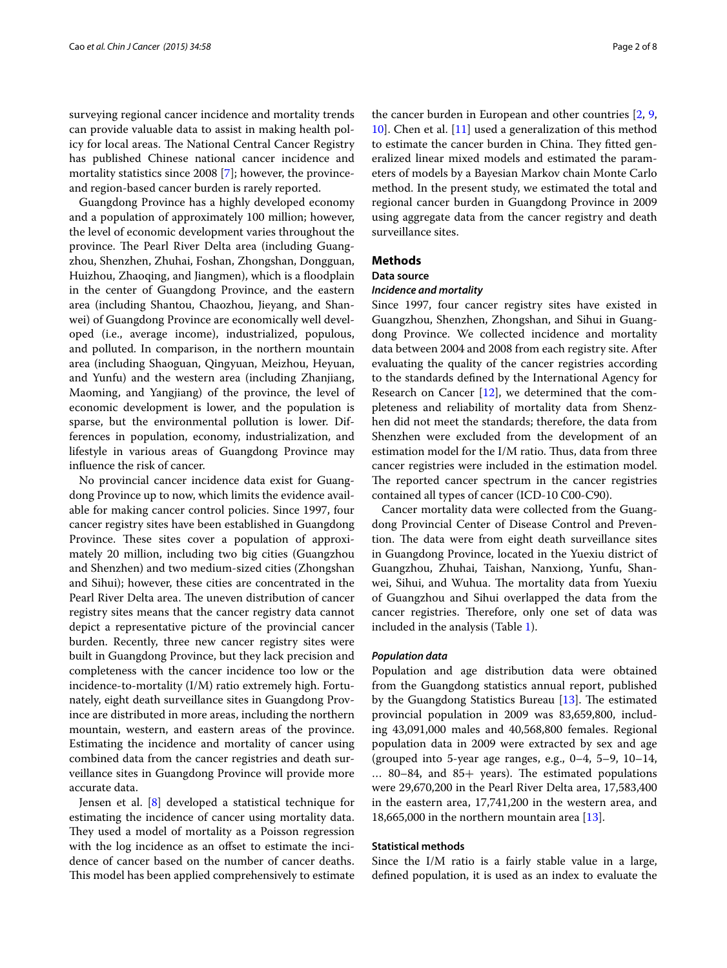surveying regional cancer incidence and mortality trends can provide valuable data to assist in making health policy for local areas. The National Central Cancer Registry has published Chinese national cancer incidence and mortality statistics since 2008 [[7\]](#page-7-4); however, the provinceand region-based cancer burden is rarely reported.

Guangdong Province has a highly developed economy and a population of approximately 100 million; however, the level of economic development varies throughout the province. The Pearl River Delta area (including Guangzhou, Shenzhen, Zhuhai, Foshan, Zhongshan, Dongguan, Huizhou, Zhaoqing, and Jiangmen), which is a floodplain in the center of Guangdong Province, and the eastern area (including Shantou, Chaozhou, Jieyang, and Shanwei) of Guangdong Province are economically well developed (i.e., average income), industrialized, populous, and polluted. In comparison, in the northern mountain area (including Shaoguan, Qingyuan, Meizhou, Heyuan, and Yunfu) and the western area (including Zhanjiang, Maoming, and Yangjiang) of the province, the level of economic development is lower, and the population is sparse, but the environmental pollution is lower. Differences in population, economy, industrialization, and lifestyle in various areas of Guangdong Province may influence the risk of cancer.

No provincial cancer incidence data exist for Guangdong Province up to now, which limits the evidence available for making cancer control policies. Since 1997, four cancer registry sites have been established in Guangdong Province. These sites cover a population of approximately 20 million, including two big cities (Guangzhou and Shenzhen) and two medium-sized cities (Zhongshan and Sihui); however, these cities are concentrated in the Pearl River Delta area. The uneven distribution of cancer registry sites means that the cancer registry data cannot depict a representative picture of the provincial cancer burden. Recently, three new cancer registry sites were built in Guangdong Province, but they lack precision and completeness with the cancer incidence too low or the incidence-to-mortality (I/M) ratio extremely high. Fortunately, eight death surveillance sites in Guangdong Province are distributed in more areas, including the northern mountain, western, and eastern areas of the province. Estimating the incidence and mortality of cancer using combined data from the cancer registries and death surveillance sites in Guangdong Province will provide more accurate data.

Jensen et al. [\[8](#page-7-5)] developed a statistical technique for estimating the incidence of cancer using mortality data. They used a model of mortality as a Poisson regression with the log incidence as an offset to estimate the incidence of cancer based on the number of cancer deaths. This model has been applied comprehensively to estimate

the cancer burden in European and other countries [[2,](#page-7-6) [9](#page-7-7), [10\]](#page-7-8). Chen et al. [[11\]](#page-7-9) used a generalization of this method to estimate the cancer burden in China. They fitted generalized linear mixed models and estimated the parameters of models by a Bayesian Markov chain Monte Carlo method. In the present study, we estimated the total and regional cancer burden in Guangdong Province in 2009 using aggregate data from the cancer registry and death surveillance sites.

### **Methods**

### **Data source**

### *Incidence and mortality*

Since 1997, four cancer registry sites have existed in Guangzhou, Shenzhen, Zhongshan, and Sihui in Guangdong Province. We collected incidence and mortality data between 2004 and 2008 from each registry site. After evaluating the quality of the cancer registries according to the standards defined by the International Agency for Research on Cancer [[12\]](#page-7-10), we determined that the completeness and reliability of mortality data from Shenzhen did not meet the standards; therefore, the data from Shenzhen were excluded from the development of an estimation model for the I/M ratio. Thus, data from three cancer registries were included in the estimation model. The reported cancer spectrum in the cancer registries contained all types of cancer (ICD-10 C00-C90).

Cancer mortality data were collected from the Guangdong Provincial Center of Disease Control and Prevention. The data were from eight death surveillance sites in Guangdong Province, located in the Yuexiu district of Guangzhou, Zhuhai, Taishan, Nanxiong, Yunfu, Shanwei, Sihui, and Wuhua. The mortality data from Yuexiu of Guangzhou and Sihui overlapped the data from the cancer registries. Therefore, only one set of data was included in the analysis (Table [1](#page-2-0)).

### *Population data*

Population and age distribution data were obtained from the Guangdong statistics annual report, published by the Guangdong Statistics Bureau [\[13](#page-7-11)]. The estimated provincial population in 2009 was 83,659,800, including 43,091,000 males and 40,568,800 females. Regional population data in 2009 were extracted by sex and age (grouped into 5-year age ranges, e.g., 0–4, 5–9, 10–14, … 80–84, and 85+ years). The estimated populations were 29,670,200 in the Pearl River Delta area, 17,583,400 in the eastern area, 17,741,200 in the western area, and 18,665,000 in the northern mountain area [[13](#page-7-11)].

### **Statistical methods**

Since the I/M ratio is a fairly stable value in a large, defined population, it is used as an index to evaluate the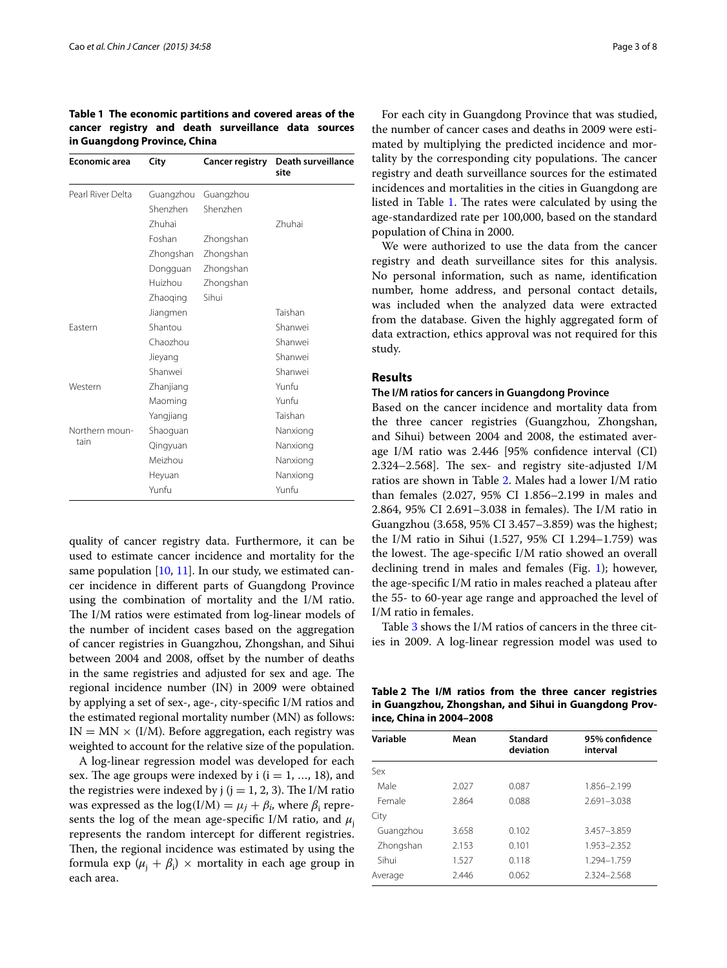<span id="page-2-0"></span>**Table 1 The economic partitions and covered areas of the cancer registry and death surveillance data sources in Guangdong Province, China**

| Economic area     | City               | <b>Cancer registry</b> | Death surveillance<br>site |
|-------------------|--------------------|------------------------|----------------------------|
| Pearl River Delta | Guangzhou          | Guangzhou              |                            |
|                   | Shenzhen<br>7huhai | Shenzhen               | 7huhai                     |
|                   | Foshan             | Zhongshan              |                            |
|                   | Zhongshan          | Zhongshan              |                            |
|                   | Dongguan           | Zhongshan              |                            |
|                   | Huizhou            | Zhongshan              |                            |
|                   | Zhaoging           | Sihui                  |                            |
|                   | Jiangmen           |                        | Taishan                    |
| Fastern           | Shantou            |                        | Shanwei                    |
|                   | Chaozhou           |                        | Shanwei                    |
|                   | Jieyang            |                        | Shanwei                    |
|                   | Shanwei            |                        | Shanwei                    |
| Western           | Zhanjiang          |                        | Yunfu                      |
|                   | Maoming            |                        | Yunfu                      |
|                   | Yangjiang          |                        | Taishan                    |
| Northern moun-    | Shaoguan           |                        | Nanxiong                   |
| tain              | Qingyuan           |                        | Nanxiong                   |
|                   | Meizhou            |                        | Nanxiong                   |
|                   | Heyuan             |                        | Nanxiong                   |
|                   | Yunfu              |                        | Yunfu                      |

quality of cancer registry data. Furthermore, it can be used to estimate cancer incidence and mortality for the same population  $[10, 11]$  $[10, 11]$  $[10, 11]$  $[10, 11]$ . In our study, we estimated cancer incidence in different parts of Guangdong Province using the combination of mortality and the I/M ratio. The I/M ratios were estimated from log-linear models of the number of incident cases based on the aggregation of cancer registries in Guangzhou, Zhongshan, and Sihui between 2004 and 2008, offset by the number of deaths in the same registries and adjusted for sex and age. The regional incidence number (IN) in 2009 were obtained by applying a set of sex-, age-, city-specific I/M ratios and the estimated regional mortality number (MN) as follows:  $IN = MN \times (I/M)$ . Before aggregation, each registry was weighted to account for the relative size of the population.

A log-linear regression model was developed for each sex. The age groups were indexed by  $i$  ( $i = 1, ..., 18$ ), and the registries were indexed by  $j$  ( $j = 1, 2, 3$ ). The I/M ratio was expressed as the  $log(I/M) = \mu_j + \beta_i$ , where  $\beta_i$  represents the log of the mean age-specific I/M ratio, and  $\mu_i$ represents the random intercept for different registries. Then, the regional incidence was estimated by using the formula  $\exp\,(\mu_{\rm j}+\beta_{\rm i})\times$  mortality in each age group in each area.

For each city in Guangdong Province that was studied, the number of cancer cases and deaths in 2009 were estimated by multiplying the predicted incidence and mortality by the corresponding city populations. The cancer registry and death surveillance sources for the estimated incidences and mortalities in the cities in Guangdong are listed in Table [1](#page-2-0). The rates were calculated by using the age-standardized rate per 100,000, based on the standard population of China in 2000.

We were authorized to use the data from the cancer registry and death surveillance sites for this analysis. No personal information, such as name, identification number, home address, and personal contact details, was included when the analyzed data were extracted from the database. Given the highly aggregated form of data extraction, ethics approval was not required for this study.

# **Results**

### **The I/M ratios for cancers in Guangdong Province**

Based on the cancer incidence and mortality data from the three cancer registries (Guangzhou, Zhongshan, and Sihui) between 2004 and 2008, the estimated average I/M ratio was 2.446 [95% confidence interval (CI) 2.324–2.568]. The sex- and registry site-adjusted I/M ratios are shown in Table [2.](#page-2-1) Males had a lower I/M ratio than females (2.027, 95% CI 1.856–2.199 in males and 2.864, 95% CI 2.691–3.038 in females). The I/M ratio in Guangzhou (3.658, 95% CI 3.457–3.859) was the highest; the I/M ratio in Sihui (1.527, 95% CI 1.294–1.759) was the lowest. The age-specific I/M ratio showed an overall declining trend in males and females (Fig. [1\)](#page-3-0); however, the age-specific I/M ratio in males reached a plateau after the 55- to 60-year age range and approached the level of I/M ratio in females.

Table [3](#page-3-1) shows the I/M ratios of cancers in the three cities in 2009. A log-linear regression model was used to

<span id="page-2-1"></span>**Table 2 The I/M ratios from the three cancer registries in Guangzhou, Zhongshan, and Sihui in Guangdong Province, China in 2004–2008**

| Variable  | Mean  | <b>Standard</b><br>deviation | 95% confidence<br>interval |  |  |
|-----------|-------|------------------------------|----------------------------|--|--|
| Sex       |       |                              |                            |  |  |
| Male      | 2.027 | 0.087                        | 1.856-2.199                |  |  |
| Female    | 2.864 | 0.088                        | $2.691 - 3.038$            |  |  |
| City      |       |                              |                            |  |  |
| Guangzhou | 3.658 | 0.102                        | 3.457-3.859                |  |  |
| Zhongshan | 2.153 | 0.101                        | 1.953-2.352                |  |  |
| Sihui     | 1.527 | 0.118                        | 1.294-1.759                |  |  |
| Average   | 2.446 | 0.062                        | 2.324-2.568                |  |  |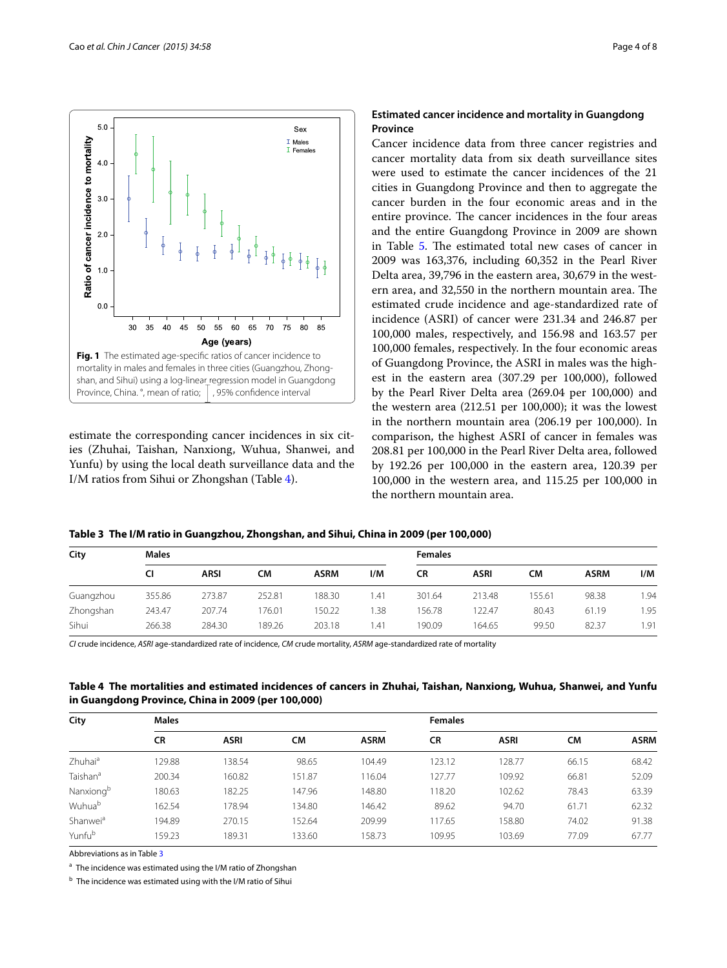

<span id="page-3-0"></span>estimate the corresponding cancer incidences in six cities (Zhuhai, Taishan, Nanxiong, Wuhua, Shanwei, and Yunfu) by using the local death surveillance data and the I/M ratios from Sihui or Zhongshan (Table [4](#page-3-2)).

## **Estimated cancer incidence and mortality in Guangdong Province**

Cancer incidence data from three cancer registries and cancer mortality data from six death surveillance sites were used to estimate the cancer incidences of the 21 cities in Guangdong Province and then to aggregate the cancer burden in the four economic areas and in the entire province. The cancer incidences in the four areas and the entire Guangdong Province in 2009 are shown in Table [5](#page-4-0). The estimated total new cases of cancer in 2009 was 163,376, including 60,352 in the Pearl River Delta area, 39,796 in the eastern area, 30,679 in the western area, and 32,550 in the northern mountain area. The estimated crude incidence and age-standardized rate of incidence (ASRI) of cancer were 231.34 and 246.87 per 100,000 males, respectively, and 156.98 and 163.57 per 100,000 females, respectively. In the four economic areas of Guangdong Province, the ASRI in males was the highest in the eastern area (307.29 per 100,000), followed by the Pearl River Delta area (269.04 per 100,000) and the western area (212.51 per 100,000); it was the lowest in the northern mountain area (206.19 per 100,000). In comparison, the highest ASRI of cancer in females was 208.81 per 100,000 in the Pearl River Delta area, followed by 192.26 per 100,000 in the eastern area, 120.39 per 100,000 in the western area, and 115.25 per 100,000 in the northern mountain area.

<span id="page-3-1"></span>**Table 3 The I/M ratio in Guangzhou, Zhongshan, and Sihui, China in 2009 (per 100,000)**

| City      | <b>Males</b> |             |        |             | <b>Females</b> |           |        |        |             |      |
|-----------|--------------|-------------|--------|-------------|----------------|-----------|--------|--------|-------------|------|
|           | CI           | <b>ARSI</b> | CМ     | <b>ASRM</b> | I/M            | <b>CR</b> | ASRI   | СM     | <b>ASRM</b> | I/M  |
| Guangzhou | 355.86       | 273.87      | 252.81 | 188.30      | .41            | 301.64    | 213.48 | 155.61 | 98.38       | 1.94 |
| Zhongshan | 243.47       | 207.74      | 176.01 | 150.22      | .38            | 156.78    | 122.47 | 80.43  | 61.19       | 1.95 |
| Sihui     | 266.38       | 284.30      | 189.26 | 203.18      | . 41           | 190.09    | 164.65 | 99.50  | 82.37       | 1.91 |

*CI* crude incidence, *ASRI* age-standardized rate of incidence, *CM* crude mortality, *ASRM* age-standardized rate of mortality

# <span id="page-3-2"></span>**Table 4 The mortalities and estimated incidences of cancers in Zhuhai, Taishan, Nanxiong, Wuhua, Shanwei, and Yunfu in Guangdong Province, China in 2009 (per 100,000)**

| City                  | <b>Males</b> |             |        |             | <b>Females</b> |             |       |             |
|-----------------------|--------------|-------------|--------|-------------|----------------|-------------|-------|-------------|
|                       | <b>CR</b>    | <b>ASRI</b> | СM     | <b>ASRM</b> | CR             | <b>ASRI</b> | CМ    | <b>ASRM</b> |
| Zhuhai <sup>a</sup>   | 129.88       | 138.54      | 98.65  | 104.49      | 123.12         | 128.77      | 66.15 | 68.42       |
| Taishan <sup>a</sup>  | 200.34       | 160.82      | 151.87 | 116.04      | 127.77         | 109.92      | 66.81 | 52.09       |
| Nanxiong <sup>b</sup> | 180.63       | 182.25      | 147.96 | 148.80      | 118.20         | 102.62      | 78.43 | 63.39       |
| Wuhuab                | 162.54       | 178.94      | 34.80  | 146.42      | 89.62          | 94.70       | 61.71 | 62.32       |
| Shanwei <sup>a</sup>  | 194.89       | 270.15      | 152.64 | 209.99      | 117.65         | 158.80      | 74.02 | 91.38       |
| Yunfub                | 159.23       | 189.31      | 33.60  | 158.73      | 109.95         | 103.69      | 77.09 | 67.77       |

Abbreviations as in Table [3](#page-3-1)

<sup>a</sup> The incidence was estimated using the I/M ratio of Zhongshan

b The incidence was estimated using with the I/M ratio of Sihui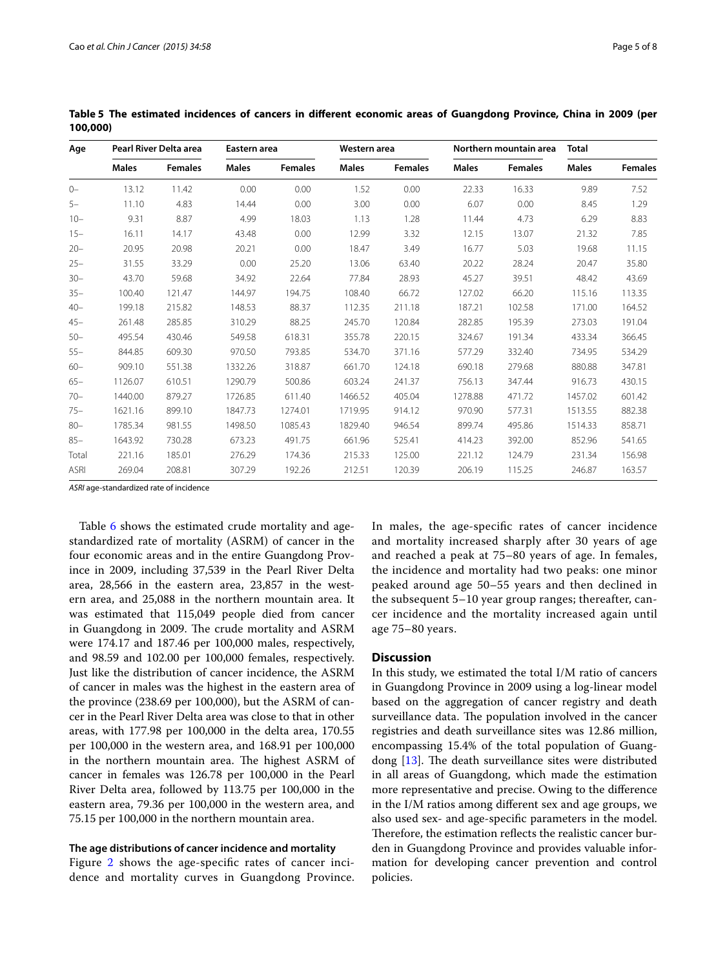| Age         | Pearl River Delta area |                | Eastern area |                | Western area |                | Northern mountain area |                | <b>Total</b> |                |
|-------------|------------------------|----------------|--------------|----------------|--------------|----------------|------------------------|----------------|--------------|----------------|
|             | <b>Males</b>           | <b>Females</b> | <b>Males</b> | <b>Females</b> | <b>Males</b> | <b>Females</b> | <b>Males</b>           | <b>Females</b> | <b>Males</b> | <b>Females</b> |
| $0-$        | 13.12                  | 11.42          | 0.00         | 0.00           | 1.52         | 0.00           | 22.33                  | 16.33          | 9.89         | 7.52           |
| $5-$        | 11.10                  | 4.83           | 14.44        | 0.00           | 3.00         | 0.00           | 6.07                   | 0.00           | 8.45         | 1.29           |
| $10 -$      | 9.31                   | 8.87           | 4.99         | 18.03          | 1.13         | 1.28           | 11.44                  | 4.73           | 6.29         | 8.83           |
| $15 -$      | 16.11                  | 14.17          | 43.48        | 0.00           | 12.99        | 3.32           | 12.15                  | 13.07          | 21.32        | 7.85           |
| $20 -$      | 20.95                  | 20.98          | 20.21        | 0.00           | 18.47        | 3.49           | 16.77                  | 5.03           | 19.68        | 11.15          |
| $25 -$      | 31.55                  | 33.29          | 0.00         | 25.20          | 13.06        | 63.40          | 20.22                  | 28.24          | 20.47        | 35.80          |
| $30 -$      | 43.70                  | 59.68          | 34.92        | 22.64          | 77.84        | 28.93          | 45.27                  | 39.51          | 48.42        | 43.69          |
| $35 -$      | 100.40                 | 121.47         | 144.97       | 194.75         | 108.40       | 66.72          | 127.02                 | 66.20          | 115.16       | 113.35         |
| $40 -$      | 199.18                 | 215.82         | 148.53       | 88.37          | 112.35       | 211.18         | 187.21                 | 102.58         | 171.00       | 164.52         |
| $45 -$      | 261.48                 | 285.85         | 310.29       | 88.25          | 245.70       | 120.84         | 282.85                 | 195.39         | 273.03       | 191.04         |
| $50 -$      | 495.54                 | 430.46         | 549.58       | 618.31         | 355.78       | 220.15         | 324.67                 | 191.34         | 433.34       | 366.45         |
| $55 -$      | 844.85                 | 609.30         | 970.50       | 793.85         | 534.70       | 371.16         | 577.29                 | 332.40         | 734.95       | 534.29         |
| $60 -$      | 909.10                 | 551.38         | 1332.26      | 318.87         | 661.70       | 124.18         | 690.18                 | 279.68         | 880.88       | 347.81         |
| $65 -$      | 1126.07                | 610.51         | 1290.79      | 500.86         | 603.24       | 241.37         | 756.13                 | 347.44         | 916.73       | 430.15         |
| $70-$       | 1440.00                | 879.27         | 1726.85      | 611.40         | 1466.52      | 405.04         | 1278.88                | 471.72         | 1457.02      | 601.42         |
| $75 -$      | 1621.16                | 899.10         | 1847.73      | 1274.01        | 1719.95      | 914.12         | 970.90                 | 577.31         | 1513.55      | 882.38         |
| $80 -$      | 1785.34                | 981.55         | 1498.50      | 1085.43        | 1829.40      | 946.54         | 899.74                 | 495.86         | 1514.33      | 858.71         |
| $85 -$      | 1643.92                | 730.28         | 673.23       | 491.75         | 661.96       | 525.41         | 414.23                 | 392.00         | 852.96       | 541.65         |
| Total       | 221.16                 | 185.01         | 276.29       | 174.36         | 215.33       | 125.00         | 221.12                 | 124.79         | 231.34       | 156.98         |
| <b>ASRI</b> | 269.04                 | 208.81         | 307.29       | 192.26         | 212.51       | 120.39         | 206.19                 | 115.25         | 246.87       | 163.57         |

<span id="page-4-0"></span>**Table 5 The estimated incidences of cancers in different economic areas of Guangdong Province, China in 2009 (per 100,000)**

*ASRI* age-standardized rate of incidence

Table [6](#page-5-0) shows the estimated crude mortality and agestandardized rate of mortality (ASRM) of cancer in the four economic areas and in the entire Guangdong Province in 2009, including 37,539 in the Pearl River Delta area, 28,566 in the eastern area, 23,857 in the western area, and 25,088 in the northern mountain area. It was estimated that 115,049 people died from cancer in Guangdong in 2009. The crude mortality and ASRM were 174.17 and 187.46 per 100,000 males, respectively, and 98.59 and 102.00 per 100,000 females, respectively. Just like the distribution of cancer incidence, the ASRM of cancer in males was the highest in the eastern area of the province (238.69 per 100,000), but the ASRM of cancer in the Pearl River Delta area was close to that in other areas, with 177.98 per 100,000 in the delta area, 170.55 per 100,000 in the western area, and 168.91 per 100,000 in the northern mountain area. The highest ASRM of cancer in females was 126.78 per 100,000 in the Pearl River Delta area, followed by 113.75 per 100,000 in the eastern area, 79.36 per 100,000 in the western area, and 75.15 per 100,000 in the northern mountain area.

### **The age distributions of cancer incidence and mortality**

Figure [2](#page-6-0) shows the age-specific rates of cancer incidence and mortality curves in Guangdong Province. In males, the age-specific rates of cancer incidence and mortality increased sharply after 30 years of age and reached a peak at 75–80 years of age. In females, the incidence and mortality had two peaks: one minor peaked around age 50–55 years and then declined in the subsequent 5–10 year group ranges; thereafter, cancer incidence and the mortality increased again until age 75–80 years.

### **Discussion**

In this study, we estimated the total I/M ratio of cancers in Guangdong Province in 2009 using a log-linear model based on the aggregation of cancer registry and death surveillance data. The population involved in the cancer registries and death surveillance sites was 12.86 million, encompassing 15.4% of the total population of Guangdong [\[13\]](#page-7-11). The death surveillance sites were distributed in all areas of Guangdong, which made the estimation more representative and precise. Owing to the difference in the I/M ratios among different sex and age groups, we also used sex- and age-specific parameters in the model. Therefore, the estimation reflects the realistic cancer burden in Guangdong Province and provides valuable information for developing cancer prevention and control policies.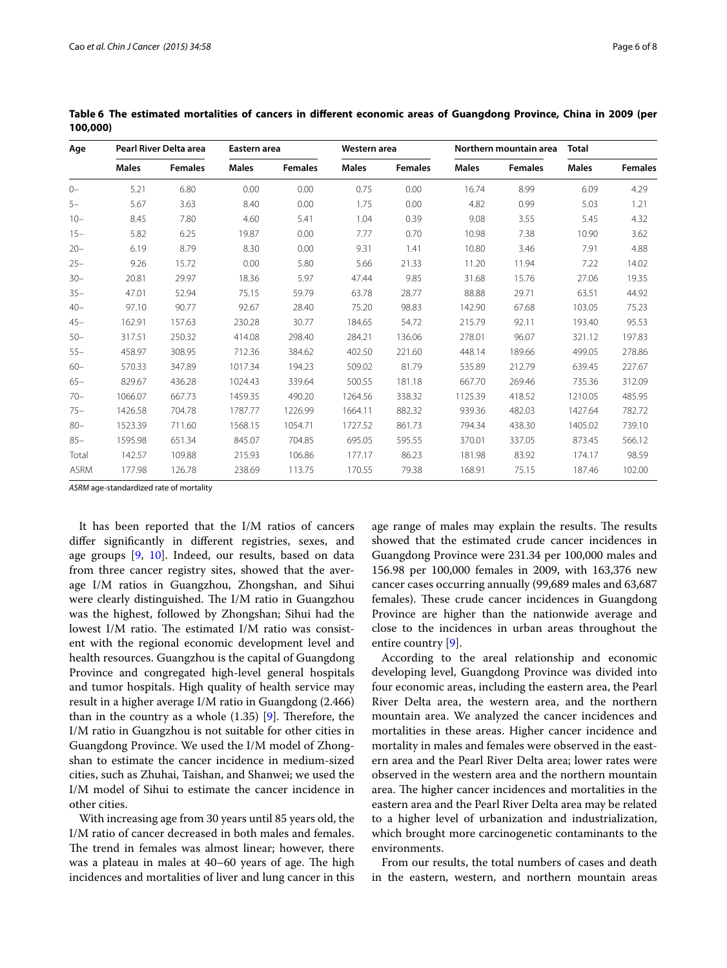| Age         | Pearl River Delta area |                | Eastern area |                | Western area |                | Northern mountain area |                | <b>Total</b> |                |
|-------------|------------------------|----------------|--------------|----------------|--------------|----------------|------------------------|----------------|--------------|----------------|
|             | <b>Males</b>           | <b>Females</b> | <b>Males</b> | <b>Females</b> | <b>Males</b> | <b>Females</b> | <b>Males</b>           | <b>Females</b> | <b>Males</b> | <b>Females</b> |
| $() -$      | 5.21                   | 6.80           | 0.00         | 0.00           | 0.75         | 0.00           | 16.74                  | 8.99           | 6.09         | 4.29           |
| 5-          | 5.67                   | 3.63           | 8.40         | 0.00           | 1.75         | 0.00           | 4.82                   | 0.99           | 5.03         | 1.21           |
| $10 -$      | 8.45                   | 7.80           | 4.60         | 5.41           | 1.04         | 0.39           | 9.08                   | 3.55           | 5.45         | 4.32           |
| $15 -$      | 5.82                   | 6.25           | 19.87        | 0.00           | 7.77         | 0.70           | 10.98                  | 7.38           | 10.90        | 3.62           |
| $20 -$      | 6.19                   | 8.79           | 8.30         | 0.00           | 9.31         | 1.41           | 10.80                  | 3.46           | 7.91         | 4.88           |
| $25 -$      | 9.26                   | 15.72          | 0.00         | 5.80           | 5.66         | 21.33          | 11.20                  | 11.94          | 7.22         | 14.02          |
| $30 -$      | 20.81                  | 29.97          | 18.36        | 5.97           | 47.44        | 9.85           | 31.68                  | 15.76          | 27.06        | 19.35          |
| $35 -$      | 47.01                  | 52.94          | 75.15        | 59.79          | 63.78        | 28.77          | 88.88                  | 29.71          | 63.51        | 44.92          |
| $40 -$      | 97.10                  | 90.77          | 92.67        | 28.40          | 75.20        | 98.83          | 142.90                 | 67.68          | 103.05       | 75.23          |
| $45 -$      | 162.91                 | 157.63         | 230.28       | 30.77          | 184.65       | 54.72          | 215.79                 | 92.11          | 193.40       | 95.53          |
| $50 -$      | 317.51                 | 250.32         | 414.08       | 298.40         | 284.21       | 136.06         | 278.01                 | 96.07          | 321.12       | 197.83         |
| $55 -$      | 458.97                 | 308.95         | 712.36       | 384.62         | 402.50       | 221.60         | 448.14                 | 189.66         | 499.05       | 278.86         |
| $60 -$      | 570.33                 | 347.89         | 1017.34      | 194.23         | 509.02       | 81.79          | 535.89                 | 212.79         | 639.45       | 227.67         |
| $65 -$      | 829.67                 | 436.28         | 1024.43      | 339.64         | 500.55       | 181.18         | 667.70                 | 269.46         | 735.36       | 312.09         |
| $70-$       | 1066.07                | 667.73         | 1459.35      | 490.20         | 1264.56      | 338.32         | 1125.39                | 418.52         | 1210.05      | 485.95         |
| $75-$       | 1426.58                | 704.78         | 1787.77      | 1226.99        | 1664.11      | 882.32         | 939.36                 | 482.03         | 1427.64      | 782.72         |
| $80 -$      | 1523.39                | 711.60         | 1568.15      | 1054.71        | 1727.52      | 861.73         | 794.34                 | 438.30         | 1405.02      | 739.10         |
| $85 -$      | 1595.98                | 651.34         | 845.07       | 704.85         | 695.05       | 595.55         | 370.01                 | 337.05         | 873.45       | 566.12         |
| Total       | 142.57                 | 109.88         | 215.93       | 106.86         | 177.17       | 86.23          | 181.98                 | 83.92          | 174.17       | 98.59          |
| <b>ASRM</b> | 177.98                 | 126.78         | 238.69       | 113.75         | 170.55       | 79.38          | 168.91                 | 75.15          | 187.46       | 102.00         |

<span id="page-5-0"></span>**Table 6 The estimated mortalities of cancers in different economic areas of Guangdong Province, China in 2009 (per 100,000)**

*ASRM* age-standardized rate of mortality

It has been reported that the I/M ratios of cancers differ significantly in different registries, sexes, and age groups [[9,](#page-7-7) [10](#page-7-8)]. Indeed, our results, based on data from three cancer registry sites, showed that the average I/M ratios in Guangzhou, Zhongshan, and Sihui were clearly distinguished. The I/M ratio in Guangzhou was the highest, followed by Zhongshan; Sihui had the lowest I/M ratio. The estimated I/M ratio was consistent with the regional economic development level and health resources. Guangzhou is the capital of Guangdong Province and congregated high-level general hospitals and tumor hospitals. High quality of health service may result in a higher average I/M ratio in Guangdong (2.466) than in the country as a whole  $(1.35)$  [[9\]](#page-7-7). Therefore, the I/M ratio in Guangzhou is not suitable for other cities in Guangdong Province. We used the I/M model of Zhongshan to estimate the cancer incidence in medium-sized cities, such as Zhuhai, Taishan, and Shanwei; we used the I/M model of Sihui to estimate the cancer incidence in other cities.

With increasing age from 30 years until 85 years old, the I/M ratio of cancer decreased in both males and females. The trend in females was almost linear; however, there was a plateau in males at 40–60 years of age. The high incidences and mortalities of liver and lung cancer in this age range of males may explain the results. The results showed that the estimated crude cancer incidences in Guangdong Province were 231.34 per 100,000 males and 156.98 per 100,000 females in 2009, with 163,376 new cancer cases occurring annually (99,689 males and 63,687 females). These crude cancer incidences in Guangdong Province are higher than the nationwide average and close to the incidences in urban areas throughout the entire country [\[9](#page-7-7)].

According to the areal relationship and economic developing level, Guangdong Province was divided into four economic areas, including the eastern area, the Pearl River Delta area, the western area, and the northern mountain area. We analyzed the cancer incidences and mortalities in these areas. Higher cancer incidence and mortality in males and females were observed in the eastern area and the Pearl River Delta area; lower rates were observed in the western area and the northern mountain area. The higher cancer incidences and mortalities in the eastern area and the Pearl River Delta area may be related to a higher level of urbanization and industrialization, which brought more carcinogenetic contaminants to the environments.

From our results, the total numbers of cases and death in the eastern, western, and northern mountain areas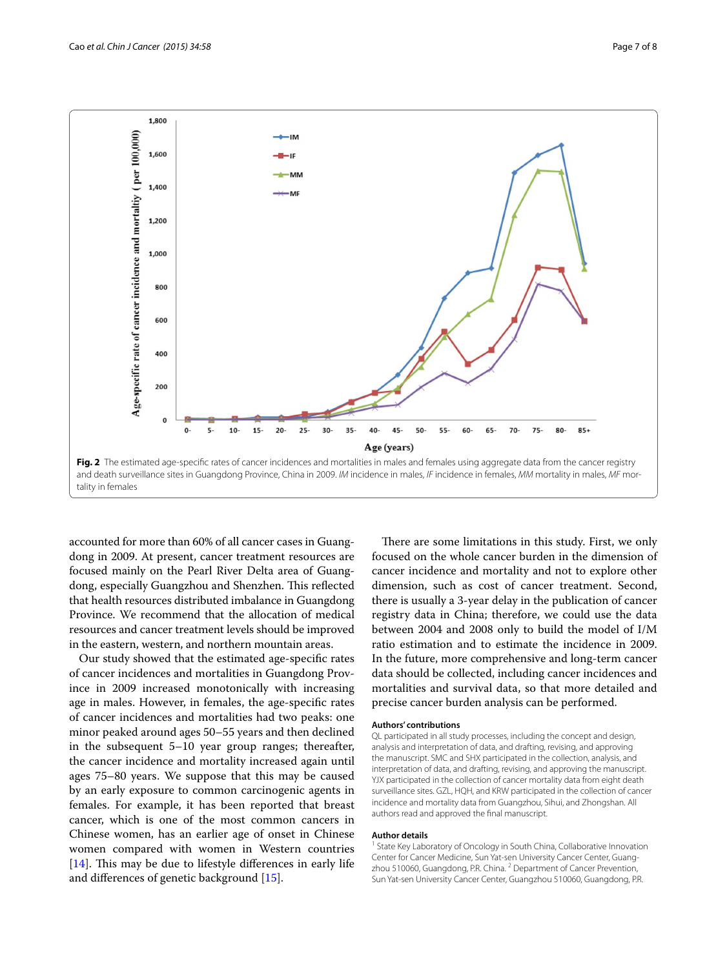

<span id="page-6-0"></span>accounted for more than 60% of all cancer cases in Guangdong in 2009. At present, cancer treatment resources are focused mainly on the Pearl River Delta area of Guangdong, especially Guangzhou and Shenzhen. This reflected that health resources distributed imbalance in Guangdong Province. We recommend that the allocation of medical resources and cancer treatment levels should be improved in the eastern, western, and northern mountain areas.

Our study showed that the estimated age-specific rates of cancer incidences and mortalities in Guangdong Province in 2009 increased monotonically with increasing age in males. However, in females, the age-specific rates of cancer incidences and mortalities had two peaks: one minor peaked around ages 50–55 years and then declined in the subsequent 5–10 year group ranges; thereafter, the cancer incidence and mortality increased again until ages 75–80 years. We suppose that this may be caused by an early exposure to common carcinogenic agents in females. For example, it has been reported that breast cancer, which is one of the most common cancers in Chinese women, has an earlier age of onset in Chinese women compared with women in Western countries [[14\]](#page-7-12). This may be due to lifestyle differences in early life and differences of genetic background [\[15\]](#page-7-13).

There are some limitations in this study. First, we only focused on the whole cancer burden in the dimension of cancer incidence and mortality and not to explore other dimension, such as cost of cancer treatment. Second, there is usually a 3-year delay in the publication of cancer registry data in China; therefore, we could use the data between 2004 and 2008 only to build the model of I/M ratio estimation and to estimate the incidence in 2009. In the future, more comprehensive and long-term cancer data should be collected, including cancer incidences and mortalities and survival data, so that more detailed and precise cancer burden analysis can be performed.

### **Authors' contributions**

QL participated in all study processes, including the concept and design, analysis and interpretation of data, and drafting, revising, and approving the manuscript. SMC and SHX participated in the collection, analysis, and interpretation of data, and drafting, revising, and approving the manuscript. YJX participated in the collection of cancer mortality data from eight death surveillance sites. GZL, HQH, and KRW participated in the collection of cancer incidence and mortality data from Guangzhou, Sihui, and Zhongshan. All authors read and approved the final manuscript.

#### **Author details**

<sup>1</sup> State Key Laboratory of Oncology in South China, Collaborative Innovation Center for Cancer Medicine, Sun Yat-sen University Cancer Center, Guangzhou 510060, Guangdong, P.R. China. <sup>2</sup> Department of Cancer Prevention, Sun Yat-sen University Cancer Center, Guangzhou 510060, Guangdong, P.R.